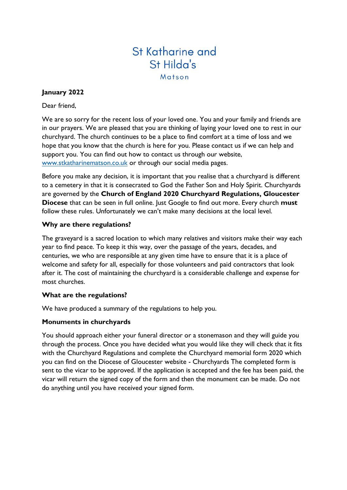# St Katharine and St Hilda's Matson

## **January 2022**

Dear friend,

We are so sorry for the recent loss of your loved one. You and your family and friends are in our prayers. We are pleased that you are thinking of laying your loved one to rest in our churchyard. The church continues to be a place to find comfort at a time of loss and we hope that you know that the church is here for you. Please contact us if we can help and support you. You can find out how to contact us through our website, [www.stkatharinematson.co.uk](http://www.stkatharinematson.co.uk/) or through our social media pages.

Before you make any decision, it is important that you realise that a churchyard is different to a cemetery in that it is consecrated to God the Father Son and Holy Spirit. Churchyards are governed by the **Church of England 2020 Churchyard Regulations, Gloucester Diocese** that can be seen in full online. Just Google to find out more. Every church **must**  follow these rules. Unfortunately we can't make many decisions at the local level.

### **Why are there regulations?**

The graveyard is a sacred location to which many relatives and visitors make their way each year to find peace. To keep it this way, over the passage of the years, decades, and centuries, we who are responsible at any given time have to ensure that it is a place of welcome and safety for all, especially for those volunteers and paid contractors that look after it. The cost of maintaining the churchyard is a considerable challenge and expense for most churches.

### **What are the regulations?**

We have produced a summary of the regulations to help you.

# **Monuments in churchyards**

You should approach either your funeral director or a stonemason and they will guide you through the process. Once you have decided what you would like they will check that it fits with the Churchyard Regulations and complete the Churchyard memorial form 2020 which you can find on the Diocese of Gloucester website - Churchyards The completed form is sent to the vicar to be approved. If the application is accepted and the fee has been paid, the vicar will return the signed copy of the form and then the monument can be made. Do not do anything until you have received your signed form.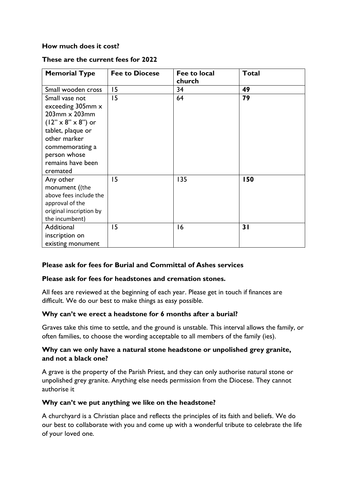## **How much does it cost?**

#### **These are the current fees for 2022**

| <b>Memorial Type</b>                                                                                                                                                                                      | <b>Fee to Diocese</b> | Fee to local<br>church | <b>Total</b> |
|-----------------------------------------------------------------------------------------------------------------------------------------------------------------------------------------------------------|-----------------------|------------------------|--------------|
| Small wooden cross                                                                                                                                                                                        | 15                    | 34                     | 49           |
| Small vase not<br>exceeding 305mm x<br>$203$ mm $\times$ 203mm<br>$(12" \times 8" \times 8")$ or<br>tablet, plaque or<br>other marker<br>commemorating a<br>person whose<br>remains have been<br>cremated | 15                    | 64                     | 79           |
| Any other<br>monument ((the<br>above fees include the<br>approval of the<br>original inscription by<br>the incumbent)                                                                                     | 15                    | 135                    | 150          |
| Additional<br>inscription on<br>existing monument                                                                                                                                                         | 15                    | 16                     | 31           |

### **Please ask for fees for Burial and Committal of Ashes services**

#### **Please ask for fees for headstones and cremation stones.**

All fees are reviewed at the beginning of each year. Please get in touch if finances are difficult. We do our best to make things as easy possible.

### **Why can't we erect a headstone for 6 months after a burial?**

Graves take this time to settle, and the ground is unstable. This interval allows the family, or often families, to choose the wording acceptable to all members of the family (ies).

### **Why can we only have a natural stone headstone or unpolished grey granite, and not a black one?**

A grave is the property of the Parish Priest, and they can only authorise natural stone or unpolished grey granite. Anything else needs permission from the Diocese. They cannot authorise it

### **Why can't we put anything we like on the headstone?**

A churchyard is a Christian place and reflects the principles of its faith and beliefs. We do our best to collaborate with you and come up with a wonderful tribute to celebrate the life of your loved one.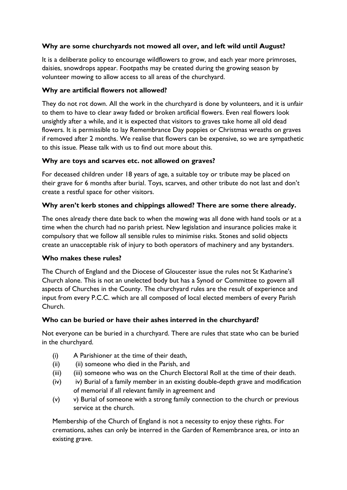# **Why are some churchyards not mowed all over, and left wild until August?**

It is a deliberate policy to encourage wildflowers to grow, and each year more primroses, daisies, snowdrops appear. Footpaths may be created during the growing season by volunteer mowing to allow access to all areas of the churchyard.

## **Why are artificial flowers not allowed?**

They do not rot down. All the work in the churchyard is done by volunteers, and it is unfair to them to have to clear away faded or broken artificial flowers. Even real flowers look unsightly after a while, and it is expected that visitors to graves take home all old dead flowers. It is permissible to lay Remembrance Day poppies or Christmas wreaths on graves if removed after 2 months. We realise that flowers can be expensive, so we are sympathetic to this issue. Please talk with us to find out more about this.

## **Why are toys and scarves etc. not allowed on graves?**

For deceased children under 18 years of age, a suitable toy or tribute may be placed on their grave for 6 months after burial. Toys, scarves, and other tribute do not last and don't create a restful space for other visitors.

## **Why aren't kerb stones and chippings allowed? There are some there already.**

The ones already there date back to when the mowing was all done with hand tools or at a time when the church had no parish priest. New legislation and insurance policies make it compulsory that we follow all sensible rules to minimise risks. Stones and solid objects create an unacceptable risk of injury to both operators of machinery and any bystanders.

### **Who makes these rules?**

The Church of England and the Diocese of Gloucester issue the rules not St Katharine's Church alone. This is not an unelected body but has a Synod or Committee to govern all aspects of Churches in the County. The churchyard rules are the result of experience and input from every P.C.C. which are all composed of local elected members of every Parish Church.

### **Who can be buried or have their ashes interred in the churchyard?**

Not everyone can be buried in a churchyard. There are rules that state who can be buried in the churchyard.

- (i) A Parishioner at the time of their death,
- (ii) (ii) someone who died in the Parish, and
- (iii) (iii) someone who was on the Church Electoral Roll at the time of their death.
- (iv) iv) Burial of a family member in an existing double-depth grave and modification of memorial if all relevant family in agreement and
- (v) v) Burial of someone with a strong family connection to the church or previous service at the church.

Membership of the Church of England is not a necessity to enjoy these rights. For cremations, ashes can only be interred in the Garden of Remembrance area, or into an existing grave.